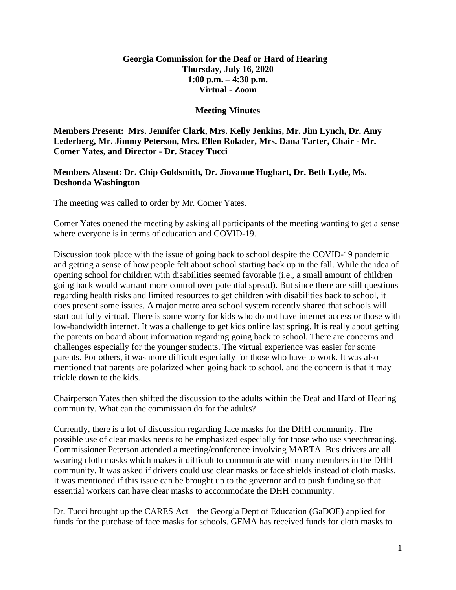## **Georgia Commission for the Deaf or Hard of Hearing Thursday, July 16, 2020 1:00 p.m. – 4:30 p.m. Virtual - Zoom**

## **Meeting Minutes**

**Members Present: Mrs. Jennifer Clark, Mrs. Kelly Jenkins, Mr. Jim Lynch, Dr. Amy Lederberg, Mr. Jimmy Peterson, Mrs. Ellen Rolader, Mrs. Dana Tarter, Chair - Mr. Comer Yates, and Director - Dr. Stacey Tucci**

## **Members Absent: Dr. Chip Goldsmith, Dr. Jiovanne Hughart, Dr. Beth Lytle, Ms. Deshonda Washington**

The meeting was called to order by Mr. Comer Yates.

Comer Yates opened the meeting by asking all participants of the meeting wanting to get a sense where everyone is in terms of education and COVID-19.

Discussion took place with the issue of going back to school despite the COVID-19 pandemic and getting a sense of how people felt about school starting back up in the fall. While the idea of opening school for children with disabilities seemed favorable (i.e., a small amount of children going back would warrant more control over potential spread). But since there are still questions regarding health risks and limited resources to get children with disabilities back to school, it does present some issues. A major metro area school system recently shared that schools will start out fully virtual. There is some worry for kids who do not have internet access or those with low-bandwidth internet. It was a challenge to get kids online last spring. It is really about getting the parents on board about information regarding going back to school. There are concerns and challenges especially for the younger students. The virtual experience was easier for some parents. For others, it was more difficult especially for those who have to work. It was also mentioned that parents are polarized when going back to school, and the concern is that it may trickle down to the kids.

Chairperson Yates then shifted the discussion to the adults within the Deaf and Hard of Hearing community. What can the commission do for the adults?

Currently, there is a lot of discussion regarding face masks for the DHH community. The possible use of clear masks needs to be emphasized especially for those who use speechreading. Commissioner Peterson attended a meeting/conference involving MARTA. Bus drivers are all wearing cloth masks which makes it difficult to communicate with many members in the DHH community. It was asked if drivers could use clear masks or face shields instead of cloth masks. It was mentioned if this issue can be brought up to the governor and to push funding so that essential workers can have clear masks to accommodate the DHH community.

Dr. Tucci brought up the CARES Act – the Georgia Dept of Education (GaDOE) applied for funds for the purchase of face masks for schools. GEMA has received funds for cloth masks to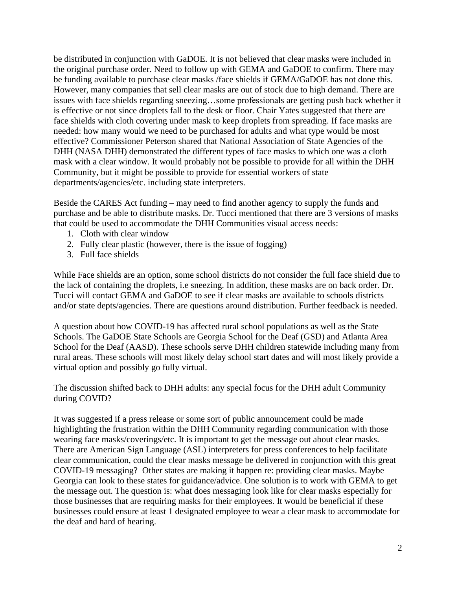be distributed in conjunction with GaDOE. It is not believed that clear masks were included in the original purchase order. Need to follow up with GEMA and GaDOE to confirm. There may be funding available to purchase clear masks /face shields if GEMA/GaDOE has not done this. However, many companies that sell clear masks are out of stock due to high demand. There are issues with face shields regarding sneezing…some professionals are getting push back whether it is effective or not since droplets fall to the desk or floor. Chair Yates suggested that there are face shields with cloth covering under mask to keep droplets from spreading. If face masks are needed: how many would we need to be purchased for adults and what type would be most effective? Commissioner Peterson shared that National Association of State Agencies of the DHH (NASA DHH) demonstrated the different types of face masks to which one was a cloth mask with a clear window. It would probably not be possible to provide for all within the DHH Community, but it might be possible to provide for essential workers of state departments/agencies/etc. including state interpreters.

Beside the CARES Act funding – may need to find another agency to supply the funds and purchase and be able to distribute masks. Dr. Tucci mentioned that there are 3 versions of masks that could be used to accommodate the DHH Communities visual access needs:

- 1. Cloth with clear window
- 2. Fully clear plastic (however, there is the issue of fogging)
- 3. Full face shields

While Face shields are an option, some school districts do not consider the full face shield due to the lack of containing the droplets, i.e sneezing. In addition, these masks are on back order. Dr. Tucci will contact GEMA and GaDOE to see if clear masks are available to schools districts and/or state depts/agencies. There are questions around distribution. Further feedback is needed.

A question about how COVID-19 has affected rural school populations as well as the State Schools. The GaDOE State Schools are Georgia School for the Deaf (GSD) and Atlanta Area School for the Deaf (AASD). These schools serve DHH children statewide including many from rural areas. These schools will most likely delay school start dates and will most likely provide a virtual option and possibly go fully virtual.

The discussion shifted back to DHH adults: any special focus for the DHH adult Community during COVID?

It was suggested if a press release or some sort of public announcement could be made highlighting the frustration within the DHH Community regarding communication with those wearing face masks/coverings/etc. It is important to get the message out about clear masks. There are American Sign Language (ASL) interpreters for press conferences to help facilitate clear communication, could the clear masks message be delivered in conjunction with this great COVID-19 messaging? Other states are making it happen re: providing clear masks. Maybe Georgia can look to these states for guidance/advice. One solution is to work with GEMA to get the message out. The question is: what does messaging look like for clear masks especially for those businesses that are requiring masks for their employees. It would be beneficial if these businesses could ensure at least 1 designated employee to wear a clear mask to accommodate for the deaf and hard of hearing.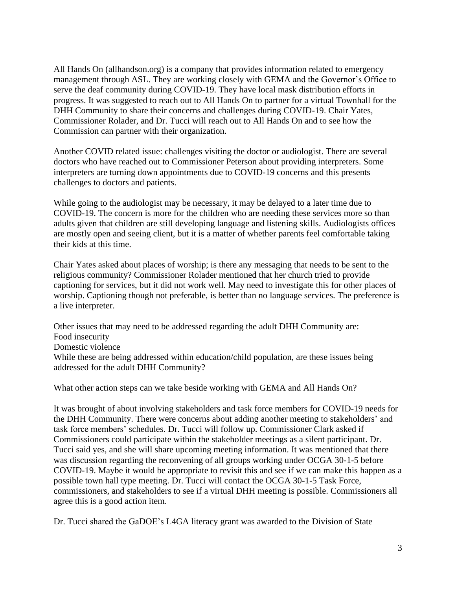All Hands On (allhandson.org) is a company that provides information related to emergency management through ASL. They are working closely with GEMA and the Governor's Office to serve the deaf community during COVID-19. They have local mask distribution efforts in progress. It was suggested to reach out to All Hands On to partner for a virtual Townhall for the DHH Community to share their concerns and challenges during COVID-19. Chair Yates, Commissioner Rolader, and Dr. Tucci will reach out to All Hands On and to see how the Commission can partner with their organization.

Another COVID related issue: challenges visiting the doctor or audiologist. There are several doctors who have reached out to Commissioner Peterson about providing interpreters. Some interpreters are turning down appointments due to COVID-19 concerns and this presents challenges to doctors and patients.

While going to the audiologist may be necessary, it may be delayed to a later time due to COVID-19. The concern is more for the children who are needing these services more so than adults given that children are still developing language and listening skills. Audiologists offices are mostly open and seeing client, but it is a matter of whether parents feel comfortable taking their kids at this time.

Chair Yates asked about places of worship; is there any messaging that needs to be sent to the religious community? Commissioner Rolader mentioned that her church tried to provide captioning for services, but it did not work well. May need to investigate this for other places of worship. Captioning though not preferable, is better than no language services. The preference is a live interpreter.

Other issues that may need to be addressed regarding the adult DHH Community are: Food insecurity Domestic violence While these are being addressed within education/child population, are these issues being addressed for the adult DHH Community?

What other action steps can we take beside working with GEMA and All Hands On?

It was brought of about involving stakeholders and task force members for COVID-19 needs for the DHH Community. There were concerns about adding another meeting to stakeholders' and task force members' schedules. Dr. Tucci will follow up. Commissioner Clark asked if Commissioners could participate within the stakeholder meetings as a silent participant. Dr. Tucci said yes, and she will share upcoming meeting information. It was mentioned that there was discussion regarding the reconvening of all groups working under OCGA 30-1-5 before COVID-19. Maybe it would be appropriate to revisit this and see if we can make this happen as a possible town hall type meeting. Dr. Tucci will contact the OCGA 30-1-5 Task Force, commissioners, and stakeholders to see if a virtual DHH meeting is possible. Commissioners all agree this is a good action item.

Dr. Tucci shared the GaDOE's L4GA literacy grant was awarded to the Division of State